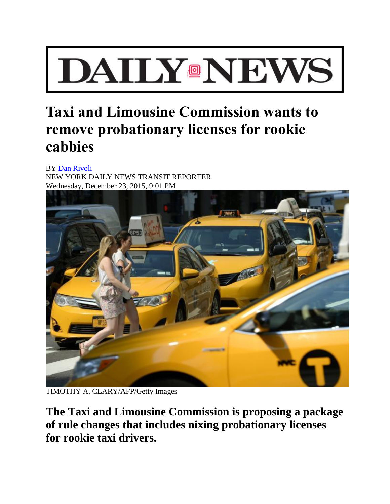## **DAIIY®NEWS**

## **Taxi and Limousine Commission wants to remove probationary licenses for rookie cabbies**

BY [Dan Rivoli](http://www.nydailynews.com/authors?author=Dan-Rivoli) NEW YORK DAILY NEWS TRANSIT REPORTER Wednesday, December 23, 2015, 9:01 PM



TIMOTHY A. CLARY/AFP/Getty Images

**The Taxi and Limousine Commission is proposing a package of rule changes that includes nixing probationary licenses for rookie taxi drivers.**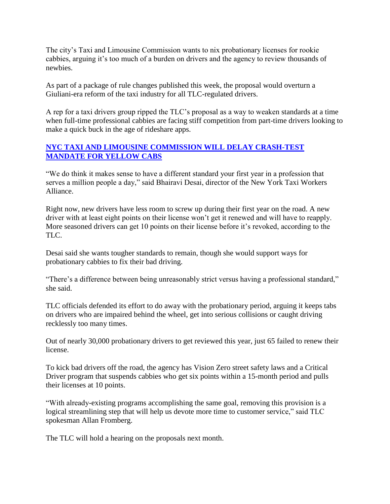The city's Taxi and Limousine Commission wants to nix probationary licenses for rookie cabbies, arguing it's too much of a burden on drivers and the agency to review thousands of newbies.

As part of a package of rule changes published this week, the proposal would overturn a Giuliani-era reform of the taxi industry for all TLC-regulated drivers.

A rep for a taxi drivers group ripped the TLC's proposal as a way to weaken standards at a time when full-time professional cabbies are facing stiff competition from part-time drivers looking to make a quick buck in the age of rideshare apps.

## **[NYC TAXI AND LIMOUSINE COMMISSION WILL DELAY CRASH-TEST](http://www.nydailynews.com/new-york/nyc-delays-crash-test-mandate-yellow-cabs-article-1.2467282)  [MANDATE FOR YELLOW CABS](http://www.nydailynews.com/new-york/nyc-delays-crash-test-mandate-yellow-cabs-article-1.2467282)**

"We do think it makes sense to have a different standard your first year in a profession that serves a million people a day," said Bhairavi Desai, director of the New York Taxi Workers Alliance.

Right now, new drivers have less room to screw up during their first year on the road. A new driver with at least eight points on their license won't get it renewed and will have to reapply. More seasoned drivers can get 10 points on their license before it's revoked, according to the TLC.

Desai said she wants tougher standards to remain, though she would support ways for probationary cabbies to fix their bad driving.

"There's a difference between being unreasonably strict versus having a professional standard," she said.

TLC officials defended its effort to do away with the probationary period, arguing it keeps tabs on drivers who are impaired behind the wheel, get into serious collisions or caught driving recklessly too many times.

Out of nearly 30,000 probationary drivers to get reviewed this year, just 65 failed to renew their license.

To kick bad drivers off the road, the agency has Vision Zero street safety laws and a Critical Driver program that suspends cabbies who get six points within a 15-month period and pulls their licenses at 10 points.

"With already-existing programs accomplishing the same goal, removing this provision is a logical streamlining step that will help us devote more time to customer service," said TLC spokesman Allan Fromberg.

The TLC will hold a hearing on the proposals next month.